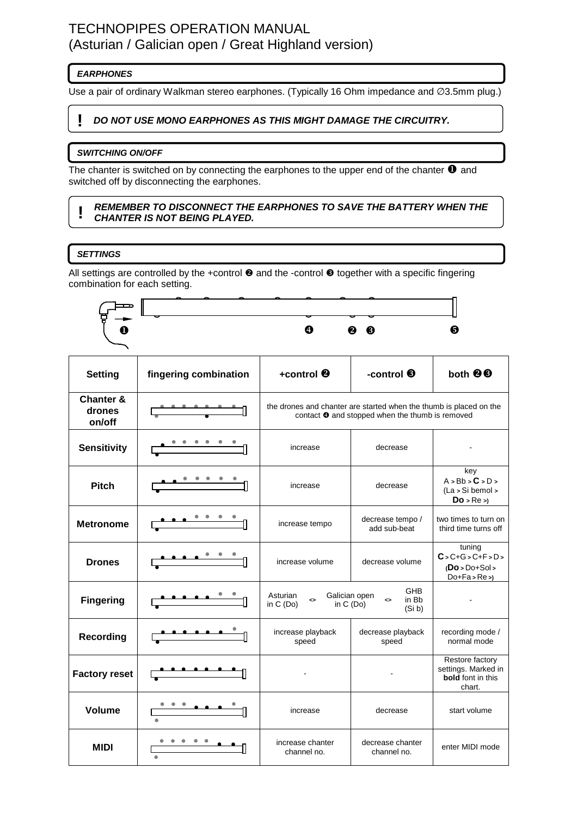# TECHNOPIPES OPERATION MANUAL (Asturian / Galician open / Great Highland version)

# **EARPHONES**

Use a pair of ordinary Walkman stereo earphones. (Typically 16 Ohm impedance and ∅3.5mm plug.)

# **! DO NOT USE MONO EARPHONES AS THIS MIGHT DAMAGE THE CIRCUITRY.**

# **SWITCHING ON/OFF**

The chanter is switched on by connecting the earphones to the upper end of the chanter  $\bullet$  and switched off by disconnecting the earphones.

#### **! REMEMBER TO DISCONNECT THE EARPHONES TO SAVE THE BATTERY WHEN THE CHANTER IS NOT BEING PLAYED.**

### **SETTINGS**

All settings are controlled by the +control  $\Theta$  and the -control  $\Theta$  together with a specific fingering combination for each setting.



| <b>Setting</b>                           | fingering combination    | +control $\boldsymbol{e}$                                                                                                        | -control <sup>6</sup>              | both <sup>90</sup>                                                           |
|------------------------------------------|--------------------------|----------------------------------------------------------------------------------------------------------------------------------|------------------------------------|------------------------------------------------------------------------------|
| <b>Chanter &amp;</b><br>drones<br>on/off |                          | the drones and chanter are started when the thumb is placed on the<br>contact <sup>o</sup> and stopped when the thumb is removed |                                    |                                                                              |
| <b>Sensitivity</b>                       |                          | increase                                                                                                                         | decrease                           |                                                                              |
| <b>Pitch</b>                             | $\overline{\phantom{a}}$ | increase                                                                                                                         | decrease                           | key<br>A > Bb > C > D ><br>$(La > Si$ bemol $\geq$<br>$Do$ > $Re$ >)         |
| <b>Metronome</b>                         |                          | increase tempo                                                                                                                   | decrease tempo /<br>add sub-beat   | two times to turn on<br>third time turns off                                 |
| <b>Drones</b>                            |                          | increase volume                                                                                                                  | decrease volume                    | tuning<br>$C > C + G > C + F > D >$<br>$(Do > Do + Sol >$<br>$Do+Fa > Re >$  |
| <b>Fingering</b>                         |                          | Asturian<br>Galician open<br>◇<br>in C (Do)<br>in $C(Do)$                                                                        | <b>GHB</b><br>in Bb<br>⇔<br>(Si b) |                                                                              |
| <b>Recording</b>                         |                          | increase playback<br>speed                                                                                                       | decrease playback<br>speed         | recording mode /<br>normal mode                                              |
| <b>Factory reset</b>                     | <u>.</u>                 |                                                                                                                                  |                                    | Restore factory<br>settings. Marked in<br><b>bold</b> font in this<br>chart. |
| <b>Volume</b>                            |                          | increase                                                                                                                         | decrease                           | start volume                                                                 |
| <b>MIDI</b>                              |                          | increase chanter<br>channel no.                                                                                                  | decrease chanter<br>channel no.    | enter MIDI mode                                                              |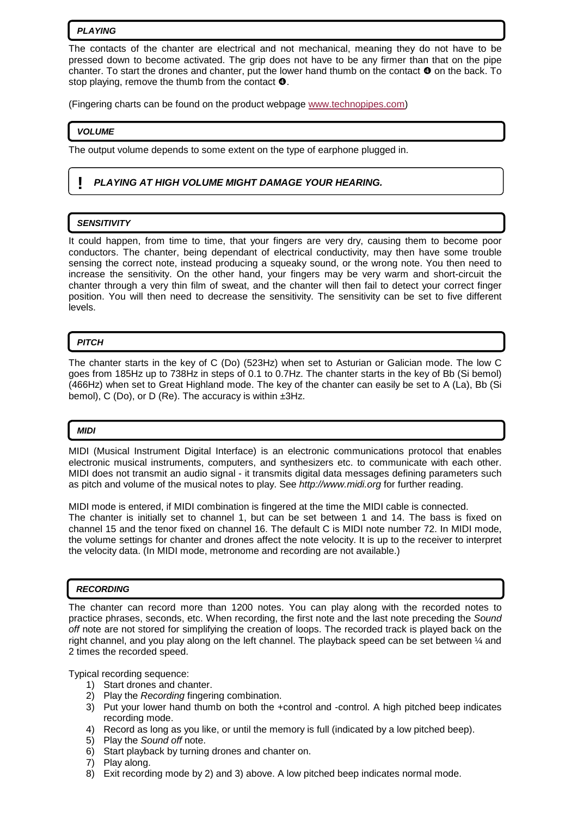#### **PLAYING**

The contacts of the chanter are electrical and not mechanical, meaning they do not have to be pressed down to become activated. The grip does not have to be any firmer than that on the pipe chanter. To start the drones and chanter, put the lower hand thumb on the contact  $\bullet$  on the back. To stop playing, remove the thumb from the contact  $\mathbf{\Theta}$ .

(Fingering charts can be found on the product webpage www.technopipes.com)

#### **VOLUME**

The output volume depends to some extent on the type of earphone plugged in.

# **! PLAYING AT HIGH VOLUME MIGHT DAMAGE YOUR HEARING.**

### **SENSITIVITY**

It could happen, from time to time, that your fingers are very dry, causing them to become poor conductors. The chanter, being dependant of electrical conductivity, may then have some trouble sensing the correct note, instead producing a squeaky sound, or the wrong note. You then need to increase the sensitivity. On the other hand, your fingers may be very warm and short-circuit the chanter through a very thin film of sweat, and the chanter will then fail to detect your correct finger position. You will then need to decrease the sensitivity. The sensitivity can be set to five different levels.

### **PITCH**

The chanter starts in the key of C (Do) (523Hz) when set to Asturian or Galician mode. The low C goes from 185Hz up to 738Hz in steps of 0.1 to 0.7Hz. The chanter starts in the key of Bb (Si bemol) (466Hz) when set to Great Highland mode. The key of the chanter can easily be set to A (La), Bb (Si bemol), C (Do), or D (Re). The accuracy is within  $\pm 3$ Hz.

#### **MIDI**

MIDI (Musical Instrument Digital Interface) is an electronic communications protocol that enables electronic musical instruments, computers, and synthesizers etc. to communicate with each other. MIDI does not transmit an audio signal - it transmits digital data messages defining parameters such as pitch and volume of the musical notes to play. See http://www.midi.org for further reading.

MIDI mode is entered, if MIDI combination is fingered at the time the MIDI cable is connected. The chanter is initially set to channel 1, but can be set between 1 and 14. The bass is fixed on channel 15 and the tenor fixed on channel 16. The default C is MIDI note number 72. In MIDI mode, the volume settings for chanter and drones affect the note velocity. It is up to the receiver to interpret the velocity data. (In MIDI mode, metronome and recording are not available.)

#### **RECORDING**

The chanter can record more than 1200 notes. You can play along with the recorded notes to practice phrases, seconds, etc. When recording, the first note and the last note preceding the Sound off note are not stored for simplifying the creation of loops. The recorded track is played back on the right channel, and you play along on the left channel. The playback speed can be set between ¼ and 2 times the recorded speed.

Typical recording sequence:

- 1) Start drones and chanter.
- 2) Play the Recording fingering combination.
- 3) Put your lower hand thumb on both the +control and -control. A high pitched beep indicates recording mode.
- 4) Record as long as you like, or until the memory is full (indicated by a low pitched beep).
- 5) Play the Sound off note.
- 6) Start playback by turning drones and chanter on.
- 7) Play along.
- 8) Exit recording mode by 2) and 3) above. A low pitched beep indicates normal mode.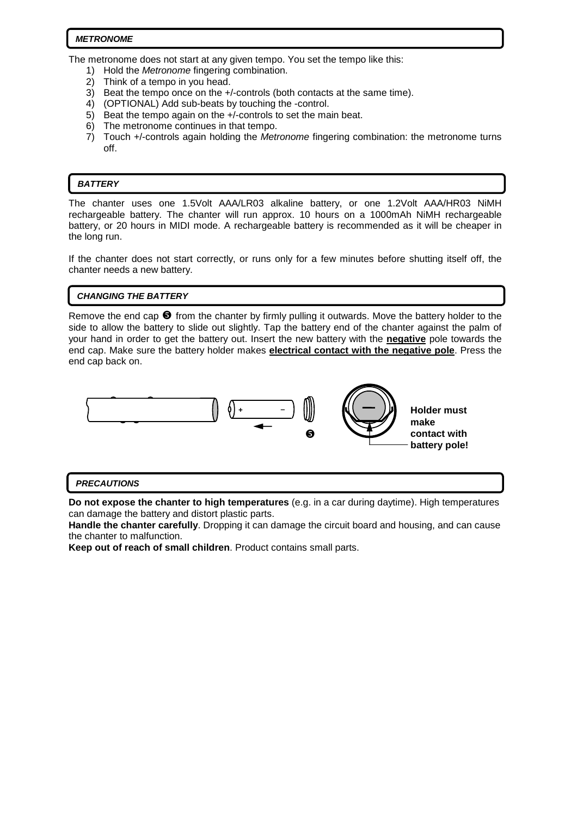#### **METRONOME**

The metronome does not start at any given tempo. You set the tempo like this:

- 1) Hold the *Metronome* fingering combination.
- 2) Think of a tempo in you head.
- 3) Beat the tempo once on the +/-controls (both contacts at the same time).
- 4) (OPTIONAL) Add sub-beats by touching the -control.
- 5) Beat the tempo again on the +/-controls to set the main beat.
- 6) The metronome continues in that tempo.
- 7) Touch +/-controls again holding the Metronome fingering combination: the metronome turns off.

### **BATTERY**

 $\overline{a}$ 

The chanter uses one 1.5Volt AAA/LR03 alkaline battery, or one 1.2Volt AAA/HR03 NiMH rechargeable battery. The chanter will run approx. 10 hours on a 1000mAh NiMH rechargeable battery, or 20 hours in MIDI mode. A rechargeable battery is recommended as it will be cheaper in the long run.

If the chanter does not start correctly, or runs only for a few minutes before shutting itself off, the chanter needs a new battery.

#### **CHANGING THE BATTERY**

Remove the end cap  $\bullet$  from the chanter by firmly pulling it outwards. Move the battery holder to the side to allow the battery to slide out slightly. Tap the battery end of the chanter against the palm of your hand in order to get the battery out. Insert the new battery with the **negative** pole towards the end cap. Make sure the battery holder makes **electrical contact with the negative pole**. Press the end cap back on.



#### **PRECAUTIONS**

**Do not expose the chanter to high temperatures** (e.g. in a car during daytime). High temperatures can damage the battery and distort plastic parts.

**Handle the chanter carefully**. Dropping it can damage the circuit board and housing, and can cause the chanter to malfunction.

**Keep out of reach of small children**. Product contains small parts.